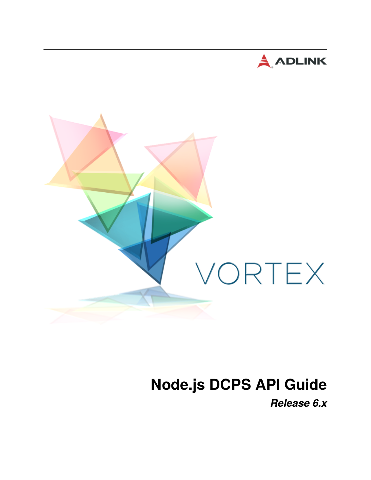



# **Node.js DCPS API Guide**

*Release 6.x*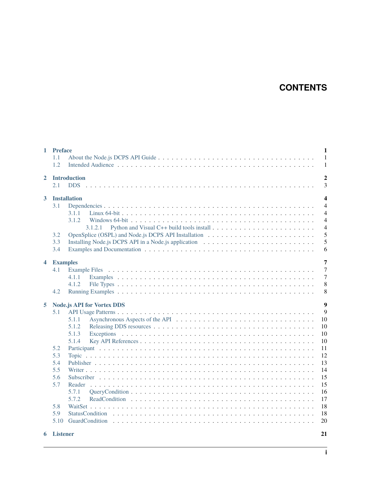# **CONTENTS**

| $\mathbf{1}$            | <b>Preface</b><br>$\mathbf{1}$<br>1.1<br>$\mathbf{1}$<br>1.2<br>1                                                                                                                                                                                                               |  |  |  |  |
|-------------------------|---------------------------------------------------------------------------------------------------------------------------------------------------------------------------------------------------------------------------------------------------------------------------------|--|--|--|--|
| $\mathbf{2}$            | <b>Introduction</b><br>2.1                                                                                                                                                                                                                                                      |  |  |  |  |
| $3^{\circ}$             | $\overline{\mathbf{4}}$<br><b>Installation</b><br>$\overline{4}$<br>3.1<br>$\overline{4}$<br>3.1.1<br>3.1.2<br>$\overline{4}$<br>$\overline{4}$<br>3.1.2.1<br>5<br>3.2<br>5<br>3.3<br>3.4<br>6                                                                                  |  |  |  |  |
| $\overline{\mathbf{4}}$ | $\overline{7}$<br><b>Examples</b><br>$\overline{7}$<br>4.1<br>$\overline{7}$<br>4.1.1<br>8<br>4.1.2<br>8<br>4.2                                                                                                                                                                 |  |  |  |  |
| 5                       | $\overline{9}$<br><b>Node.js API for Vortex DDS</b><br>9<br>5.1<br>5.1.1<br>10<br>5.1.2<br>10<br>5.1.3<br>10<br>10<br>5.1.4<br>11<br>5.2<br>12<br>5.3<br>13<br>5.4<br>5.5<br>14<br>15<br>5.6<br>15<br>5.7<br>16<br>5.7.1<br>17<br>5.7.2<br>18<br>5.8<br>5.9<br>18<br>20<br>5.10 |  |  |  |  |

#### **[6 Listener](#page-23-0) 21**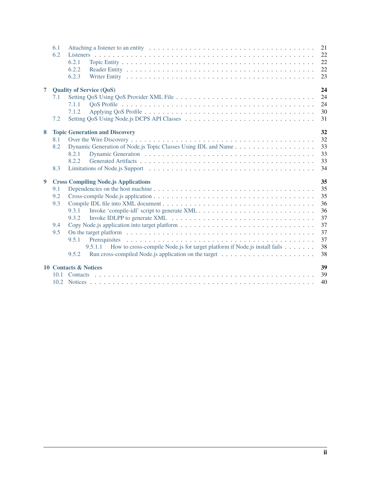|                | 6.1<br>6.2                      | 6.2.1<br>6.2.2<br>6.2.3                                                                                                                                                 | 21<br>22<br>22<br>22<br>23                                     |
|----------------|---------------------------------|-------------------------------------------------------------------------------------------------------------------------------------------------------------------------|----------------------------------------------------------------|
| $\overline{7}$ | 7.1<br>7.2                      | <b>Quality of Service (QoS)</b><br>7.1.1<br>7.1.2                                                                                                                       | 24<br>24<br>24<br>30<br>31                                     |
| 8              | 8.1<br>8.2<br>8.3               | <b>Topic Generation and Discovery</b><br>Dynamic Generation of Node.js Topic Classes Using IDL and Name<br>8.2.1<br>8.2.2                                               | 32<br>32<br>33<br>33<br>33<br>34                               |
| 9              | 9.1<br>9.2<br>9.3<br>9.4<br>9.5 | <b>Cross Compiling Node.js Applications</b><br>9.3.1<br>9.3.2<br>9.5.1<br>9.5.1.1<br>How to cross-compile Node.js for target platform if Node.js install fails<br>9.5.2 | 35<br>35<br>35<br>36<br>36<br>37<br>37<br>37<br>37<br>38<br>38 |
|                | 10.1                            | 10 Contacts & Notices                                                                                                                                                   | 39<br>39<br>40                                                 |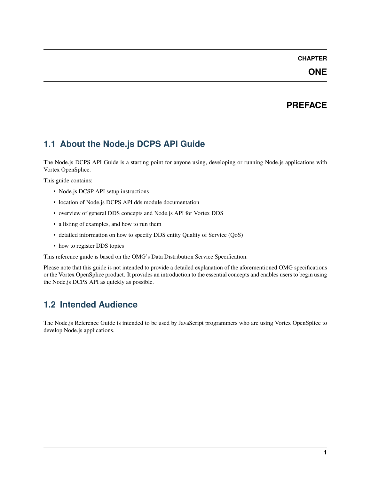### **ONE**

# **PREFACE**

# <span id="page-3-1"></span><span id="page-3-0"></span>**1.1 About the Node.js DCPS API Guide**

The Node.js DCPS API Guide is a starting point for anyone using, developing or running Node.js applications with Vortex OpenSplice.

This guide contains:

- Node.js DCSP API setup instructions
- location of Node.js DCPS API dds module documentation
- overview of general DDS concepts and Node.js API for Vortex DDS
- a listing of examples, and how to run them
- detailed information on how to specify DDS entity Quality of Service (QoS)
- how to register DDS topics

This reference guide is based on the OMG's Data Distribution Service Specification.

Please note that this guide is not intended to provide a detailed explanation of the aforementioned OMG specifications or the Vortex OpenSplice product. It provides an introduction to the essential concepts and enables users to begin using the Node.js DCPS API as quickly as possible.

# <span id="page-3-2"></span>**1.2 Intended Audience**

The Node.js Reference Guide is intended to be used by JavaScript programmers who are using Vortex OpenSplice to develop Node.js applications.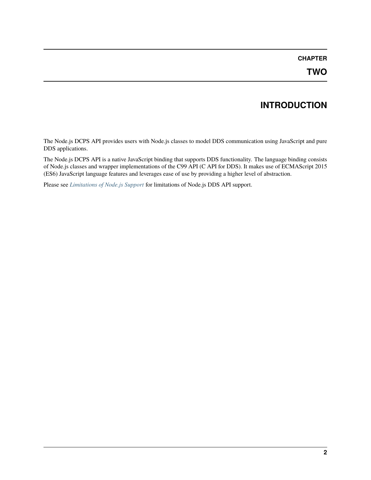# **INTRODUCTION**

<span id="page-4-0"></span>The Node.js DCPS API provides users with Node.js classes to model DDS communication using JavaScript and pure DDS applications.

The Node.js DCPS API is a native JavaScript binding that supports DDS functionality. The language binding consists of Node.js classes and wrapper implementations of the C99 API (C API for DDS). It makes use of ECMAScript 2015 (ES6) JavaScript language features and leverages ease of use by providing a higher level of abstraction.

Please see *[Limitations of Node.js Support](#page-36-0)* for limitations of Node.js DDS API support.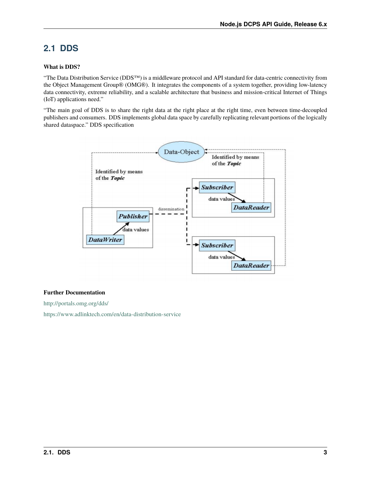# <span id="page-5-0"></span>**2.1 DDS**

#### **What is DDS?**

"The Data Distribution Service (DDS™) is a middleware protocol and API standard for data-centric connectivity from the Object Management Group® (OMG®). It integrates the components of a system together, providing low-latency data connectivity, extreme reliability, and a scalable architecture that business and mission-critical Internet of Things (IoT) applications need."

"The main goal of DDS is to share the right data at the right place at the right time, even between time-decoupled publishers and consumers. DDS implements global data space by carefully replicating relevant portions of the logically shared dataspace." DDS specification



#### **Further Documentation**

<http://portals.omg.org/dds/>

<https://www.adlinktech.com/en/data-distribution-service>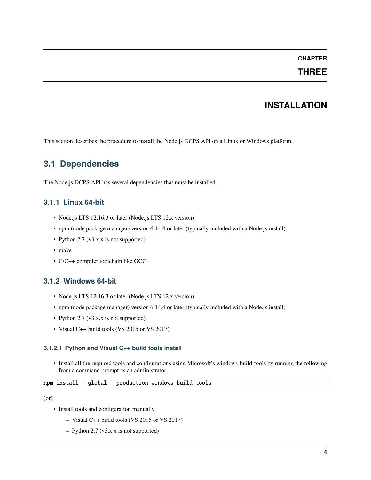### **THREE**

# **INSTALLATION**

<span id="page-6-0"></span>This section describes the procedure to install the Node.js DCPS API on a Linux or Windows platform.

# <span id="page-6-1"></span>**3.1 Dependencies**

The Node.js DCPS API has several dependencies that must be installed.

### <span id="page-6-2"></span>**3.1.1 Linux 64-bit**

- Node.js LTS 12.16.3 or later (Node.js LTS 12.x version)
- npm (node package manager) version 6.14.4 or later (typically included with a Node.js install)
- Python 2.7 (v3.x.x is not supported)
- make
- C/C++ compiler toolchain like GCC

### <span id="page-6-3"></span>**3.1.2 Windows 64-bit**

- Node.js LTS 12.16.3 or later (Node.js LTS 12.x version)
- npm (node package manager) version 6.14.4 or later (typically included with a Node.js install)
- Python 2.7 (v3.x.x is not supported)
- Visual C++ build tools (VS 2015 or VS 2017)

#### <span id="page-6-4"></span>**3.1.2.1 Python and Visual C++ build tools install**

• Install all the required tools and configurations using Microsoft's windows-build-tools by running the following from a command prompt as an administrator:

#### npm install --global --production windows-build-tools

(or)

- Install tools and configuration manually
	- **–** Visual C++ build tools (VS 2015 or VS 2017)
	- **–** Python 2.7 (v3.x.x is not supported)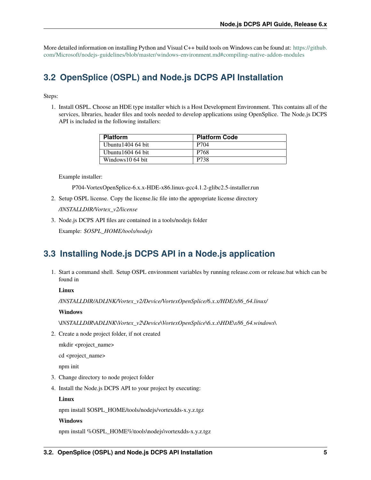More detailed information on installing Python and Visual C++ build tools on Windows can be found at: [https://github.](https://github.com/Microsoft/nodejs-guidelines/blob/master/windows-environment.md#compiling-native-addon-modules) [com/Microsoft/nodejs-guidelines/blob/master/windows-environment.md#compiling-native-addon-modules](https://github.com/Microsoft/nodejs-guidelines/blob/master/windows-environment.md#compiling-native-addon-modules)

# <span id="page-7-0"></span>**3.2 OpenSplice (OSPL) and Node.js DCPS API Installation**

Steps:

1. Install OSPL. Choose an HDE type installer which is a Host Development Environment. This contains all of the services, libraries, header files and tools needed to develop applications using OpenSplice. The Node.js DCPS API is included in the following installers:

| <b>Platform</b>     | <b>Platform Code</b> |
|---------------------|----------------------|
| Ubuntu $140464$ bit | P704                 |
| Ubuntu $160464$ bit | P768                 |
| Windows 10 64 bit   | P738                 |

Example installer:

P704-VortexOpenSplice-6.x.x-HDE-x86.linux-gcc4.1.2-glibc2.5-installer.run

2. Setup OSPL license. Copy the license.lic file into the appropriate license directory

*/INSTALLDIR/Vortex\_v2/license*

3. Node.js DCPS API files are contained in a tools/nodejs folder

Example: *\$OSPL\_HOME/tools/nodejs*

# <span id="page-7-1"></span>**3.3 Installing Node.js DCPS API in a Node.js application**

1. Start a command shell. Setup OSPL environment variables by running release.com or release.bat which can be found in

#### **Linux**

*/INSTALLDIR/ADLINK/Vortex\_v2/Device/VortexOpenSplice/6.x.x/HDE/x86\_64.linux/*

#### **Windows**

*\INSTALLDIR\ADLINK\Vortex\_v2\Device\VortexOpenSplice\6.x.x\HDE\x86\_64.windows\*

2. Create a node project folder, if not created

mkdir <project\_name>

cd <project\_name>

npm init

- 3. Change directory to node project folder
- 4. Install the Node.js DCPS API to your project by executing:

**Linux**

npm install \$OSPL\_HOME/tools/nodejs/vortexdds-x.y.z.tgz

#### **Windows**

npm install %OSPL\_HOME%\tools\nodejs\vortexdds-x.y.z.tgz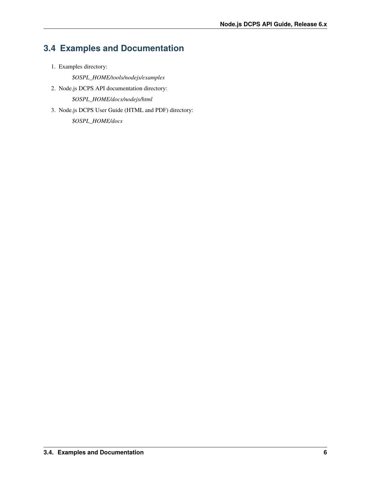# <span id="page-8-0"></span>**3.4 Examples and Documentation**

1. Examples directory:

*\$OSPL\_HOME/tools/nodejs/examples*

2. Node.js DCPS API documentation directory:

*\$OSPL\_HOME/docs/nodejs/html*

3. Node.js DCPS User Guide (HTML and PDF) directory:

*\$OSPL\_HOME/docs*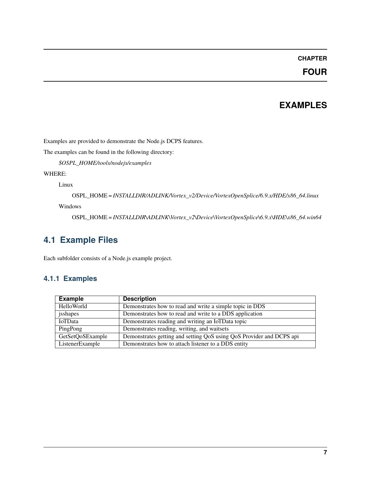# **FOUR**

# **EXAMPLES**

<span id="page-9-0"></span>Examples are provided to demonstrate the Node.js DCPS features.

The examples can be found in the following directory:

*\$OSPL\_HOME/tools/nodejs/examples*

### WHERE:

Linux

OSPL\_HOME = *INSTALLDIR/ADLINK/Vortex\_v2/Device/VortexOpenSplice/6.9.x/HDE/x86\_64.linux*

Windows

OSPL\_HOME = *INSTALLDIR\ADLINK\Vortex\_v2\Device\VortexOpenSplice\6.9.x\HDE\x86\_64.win64*

# <span id="page-9-1"></span>**4.1 Example Files**

Each subfolder consists of a Node.js example project.

### <span id="page-9-2"></span>**4.1.1 Examples**

| <b>Example</b>   | <b>Description</b>                                                   |
|------------------|----------------------------------------------------------------------|
| HelloWorld       | Demonstrates how to read and write a simple topic in DDS             |
| jsshapes         | Demonstrates how to read and write to a DDS application              |
| IoTData          | Demonstrates reading and writing an IoTData topic                    |
| PingPong         | Demonstrates reading, writing, and waitsets                          |
| GetSetQoSExample | Demonstrates getting and setting QoS using QoS Provider and DCPS api |
| ListenerExample  | Demonstrates how to attach listener to a DDS entity                  |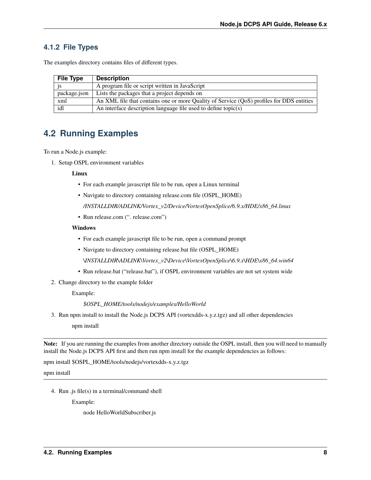### <span id="page-10-0"></span>**4.1.2 File Types**

The examples directory contains files of different types.

| <b>File Type</b> | <b>Description</b>                                                                       |
|------------------|------------------------------------------------------------------------------------------|
|                  | A program file or script written in JavaScript                                           |
| package.json     | Lists the packages that a project depends on                                             |
| xml              | An XML file that contains one or more Quality of Service (QoS) profiles for DDS entities |
| idl              | An interface description language file used to define topic $(s)$                        |

# <span id="page-10-1"></span>**4.2 Running Examples**

To run a Node.js example:

1. Setup OSPL environment variables

#### **Linux**

- For each example javascript file to be run, open a Linux terminal
- Navigate to directory containing release.com file (OSPL\_HOME)

*/INSTALLDIR/ADLINK/Vortex\_v2/Device/VortexOpenSplice/6.9.x/HDE/x86\_64.linux*

• Run release.com (". release.com")

#### **Windows**

- For each example javascript file to be run, open a command prompt
- Navigate to directory containing release.bat file (OSPL\_HOME)

*\INSTALLDIR\ADLINK\Vortex\_v2\Device\VortexOpenSplice\6.9.x\HDE\x86\_64.win64*

- Run release.bat ("release.bat"), if OSPL environment variables are not set system wide
- 2. Change directory to the example folder

Example:

*\$OSPL\_HOME/tools/nodejs/examples/HelloWorld*

3. Run npm install to install the Node.js DCPS API (vortexdds-x.y.z.tgz) and all other dependencies

npm install

**Note:** If you are running the examples from another directory outside the OSPL install, then you will need to manually install the Node.js DCPS API first and then run npm install for the example dependencies as follows:

npm install \$OSPL\_HOME/tools/nodejs/vortexdds-x.y.z.tgz

npm install

4. Run .js file(s) in a terminal/command shell

Example:

node HelloWorldSubscriber.js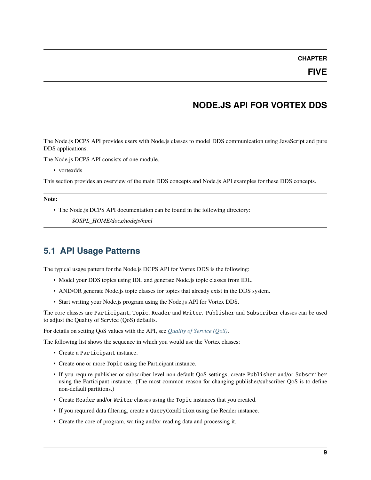### **FIVE**

# **NODE.JS API FOR VORTEX DDS**

<span id="page-11-0"></span>The Node.js DCPS API provides users with Node.js classes to model DDS communication using JavaScript and pure DDS applications.

The Node.js DCPS API consists of one module.

• vortexdds

This section provides an overview of the main DDS concepts and Node.js API examples for these DDS concepts.

#### **Note:**

• The Node.js DCPS API documentation can be found in the following directory:

*\$OSPL\_HOME/docs/nodejs/html*

# <span id="page-11-1"></span>**5.1 API Usage Patterns**

The typical usage pattern for the Node.js DCPS API for Vortex DDS is the following:

- Model your DDS topics using IDL and generate Node.js topic classes from IDL.
- AND/OR generate Node.js topic classes for topics that already exist in the DDS system.
- Start writing your Node.js program using the Node.js API for Vortex DDS.

The core classes are Participant, Topic, Reader and Writer. Publisher and Subscriber classes can be used to adjust the Quality of Service (QoS) defaults.

For details on setting QoS values with the API, see *[Quality of Service \(QoS\)](#page-26-0)*.

The following list shows the sequence in which you would use the Vortex classes:

- Create a Participant instance.
- Create one or more Topic using the Participant instance.
- If you require publisher or subscriber level non-default QoS settings, create Publisher and/or Subscriber using the Participant instance. (The most common reason for changing publisher/subscriber QoS is to define non-default partitions.)
- Create Reader and/or Writer classes using the Topic instances that you created.
- If you required data filtering, create a QueryCondition using the Reader instance.
- Create the core of program, writing and/or reading data and processing it.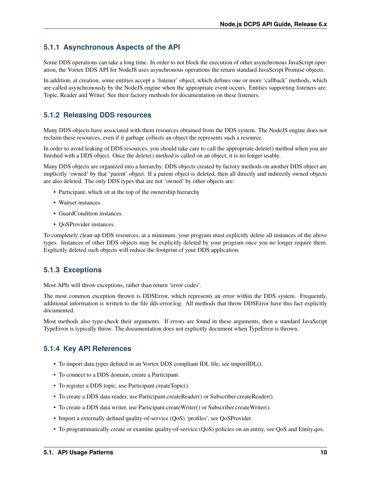### <span id="page-12-0"></span>**5.1.1 Asynchronous Aspects of the API**

Some DDS operations can take a long time. In order to not block the execution of other asynchronous JavaScript operation, the Vortex DDS API for NodeJS uses asynchronous operations the return standard JavaScript Promise objects.

In addition, at creation, some entities accept a 'listener' object, which defines one or more 'callback' methods, which are called asynchronously by the NodeJS engine when the appropriate event occurs. Entities supporting listeners are: Topic, Reader and Writer. See their factory methods for documentation on these listeners.

### <span id="page-12-1"></span>**5.1.2 Releasing DDS resources**

Many DDS objects have associated with them resources obtained from the DDS system. The NodeJS engine does not reclaim these resources, even if it garbage collects an object the represents such a resource.

In order to avoid leaking of DDS resources, you should take care to call the appropriate delete() method when you are finished with a DDS object. Once the delete() method is called on an object, it is no longer usable.

Many DDS objects are organized into a hierarchy. DDS objects created by factory methods on another DDS object are implicitly 'owned' by that 'parent' object. If a parent object is deleted, then all directly and indirectly owned objects are also deleted. The only DDS types that are not 'owned' by other objects are:

- Participant, which sit at the top of the ownership hierarchy
- Waitset instances.
- GuardCondition instances.
- OoSProvider instances.

To completely clean-up DDS resources, at a minimum, your program must explicitly delete all instances of the above types. Instances of other DDS objects may be explicitly deleted by your program once you no longer require them. Explicitly deleted such objects will reduce the footprint of your DDS application.

### <span id="page-12-2"></span>**5.1.3 Exceptions**

Most APIs will throw exceptions, rather than return 'error codes'.

The most common exception thrown is DDSError, which represents an error within the DDS system. Frequently, additional information is written to the file dds-error.log. All methods that throw DDSError have this fact explicitly documented.

Most methods also type-check their arguments. If errors are found in these arguments, then a standard JavaScript TypeError is typically throw. The documentation does not explicitly document when TypeError is thrown.

### <span id="page-12-3"></span>**5.1.4 Key API References**

- To import data types defined in an Vortex DDS compliant IDL file, see importIDL().
- To connect to a DDS domain, create a Participant.
- To register a DDS topic, use Participant.createTopic().
- To create a DDS data reader, use Participant.createReader() or Subscriber.createReader().
- To create a DDS data writer, use Participant.createWriter() or Subscriber.createWriter().
- Import a externally defined quality-of-service (QoS) 'profiles', see QoSProvider.
- To programmatically create or examine quality-of-service (QoS) policies on an entity, see QoS and Entity.qos.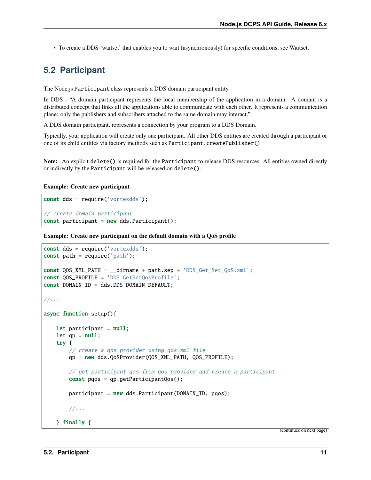• To create a DDS 'waitset' that enables you to wait (asynchronously) for specific conditions, see Waitset.

# <span id="page-13-0"></span>**5.2 Participant**

The Node.js Participant class represents a DDS domain participant entity.

In DDS - "A domain participant represents the local membership of the application in a domain. A domain is a distributed concept that links all the applications able to communicate with each other. It represents a communication plane: only the publishers and subscribers attached to the same domain may interact."

A DDS domain participant, represents a connection by your program to a DDS Domain.

Typically, your application will create only one participant. All other DDS entities are created through a participant or one of its child entities via factory methods such as Participant.createPublisher().

**Note:** An explicit delete() is required for the Participant to release DDS resources. All entities owned directly or indirectly by the Participant will be released on delete().

#### **Example: Create new participant**

```
const dds = require('vortexdds');
// create domain participant
const participant = new dds. Participant();
```
**Example: Create new participant on the default domain with a QoS profile**

```
const dds = require('vortexdds');
const path = require('path');const QOS_XML_PATH = __dirname + path.sep + 'DDS_Get_Set_QoS.xml';
const QOS_PROFILE = 'DDS GetSetQosProfile';
const DOMAIN_ID = dds.DDS_DOMAIN_DEFAULT;
//...
async function setup(){
   let participant = null;let qp = null;try {
        // create a qos provider using qos xml file
        qp = new dds.QoSProvider(QOS_XML_PATH, QOS_PROFILE);
        // get participant qos from qos provider and create a participant
        const pqos = qp.getParticipantQos();
        participant = new dds.Participant(DOMAIN_ID, pqos);
        //...
    } finally {
```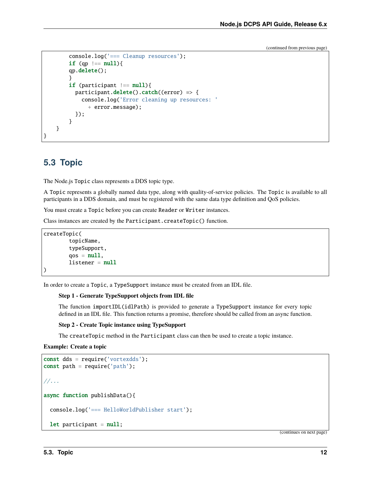```
console.log('=== Cleanup resources');
        if (qp == null){
        qp.delete();
        }
        if (participant  == \text{ null}){
          participant.delete().catch((error) => {
            console.log('Error cleaning up resources: '
               + error.message);
          });
        }
    }
}
```
# <span id="page-14-0"></span>**5.3 Topic**

The Node.js Topic class represents a DDS topic type.

A Topic represents a globally named data type, along with quality-of-service policies. The Topic is available to all participants in a DDS domain, and must be registered with the same data type definition and QoS policies.

You must create a Topic before you can create Reader or Writer instances.

Class instances are created by the Participant.createTopic() function.

```
createTopic(
        topicName,
        typeSupport,
        qos = null,listener = null)
```
In order to create a Topic, a TypeSupport instance must be created from an IDL file.

#### **Step 1 - Generate TypeSupport objects from IDL file**

The function importIDL(idlPath) is provided to generate a TypeSupport instance for every topic defined in an IDL file. This function returns a promise, therefore should be called from an async function.

#### **Step 2 - Create Topic instance using TypeSupport**

The createTopic method in the Participant class can then be used to create a topic instance.

**Example: Create a topic**

```
const dds = require('vortexdds');
const path = require('path');//...
async function publishData(){
 console.log('=== HelloWorldPublisher start');
  let participant = null;
```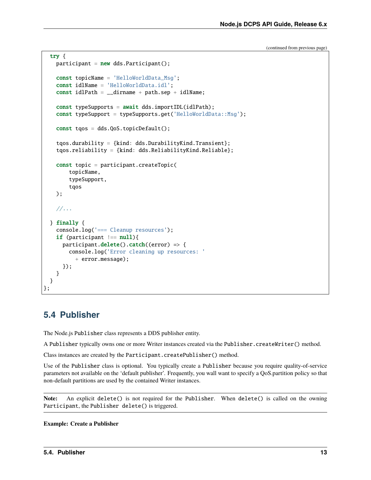```
try {
   participant = new dds.Participant();
   const topicName = 'HelloWorldData_Msg';
   const idlName = 'HelloWorldData.idl';
    const idlPath = _idirname + path.sep + idlName;
   const typeSupports = await dds.importIDL(idlPath);
   const typeSupport = typeSupports.get('HelloWorldData::Msq');
   const tqos = dds.QoS.topicDefault();
   tqos.durability = {kind: dds.DurabilityKind.Transient};
   tqos.reliability = {kind: dds.ReliabilityKind.Reliable};
   const topic = participant.createTopic(
        topicName,
        typeSupport,
        tqos
   );
    //...
  } finally {
   console.log('=== Cleanup resources');
   if (participant  == null){
      participant.delete().catch((error) => {
        console.log('Error cleaning up resources: '
          + error.message);
      });
   }
 }
};
```
# <span id="page-15-0"></span>**5.4 Publisher**

The Node.js Publisher class represents a DDS publisher entity.

A Publisher typically owns one or more Writer instances created via the Publisher.createWriter() method.

Class instances are created by the Participant.createPublisher() method.

Use of the Publisher class is optional. You typically create a Publisher because you require quality-of-service parameters not available on the 'default publisher'. Frequently, you wall want to specify a QoS.partition policy so that non-default partitions are used by the contained Writer instances.

**Note:** An explicit delete() is not required for the Publisher. When delete() is called on the owning Participant, the Publisher delete() is triggered.

**Example: Create a Publisher**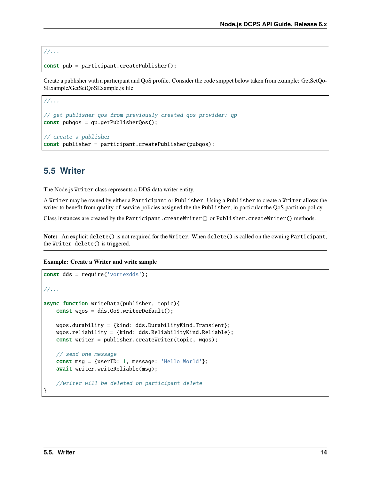```
//...
```

```
const pub = participant.createPublisher();
```
Create a publisher with a participant and QoS profile. Consider the code snippet below taken from example: GetSetQo-SExample/GetSetQoSExample.js file.

```
//...
// get publisher qos from previously created qos provider: qp
const pubqos = qp.getPublisherQos();
// create a publisher
const publisher = participant.createPublisher(pubqos);
```
# <span id="page-16-0"></span>**5.5 Writer**

The Node.js Writer class represents a DDS data writer entity.

A Writer may be owned by either a Participant or Publisher. Using a Publisher to create a Writer allows the writer to benefit from quality-of-service policies assigned the the Publisher, in particular the QoS.partition policy.

Class instances are created by the Participant.createWriter() or Publisher.createWriter() methods.

**Note:** An explicit delete() is not required for the Writer. When delete() is called on the owning Participant, the Writer delete() is triggered.

**Example: Create a Writer and write sample**

```
const dds = require('vortexdds');
//...
async function writeData(publisher, topic){
   const wqos = dds.QoS.writerDefault();
   wqos.durability = {kind: dds.DurabilityKind.Transient};
   wqos.reliability = {kind: dds.ReliabilityKind.Reliable};
   const writer = publisher.createWriter(topic, wqos);
   // send one message
   const msg = {userID: 1, message: 'Hello World'};
   await writer.writeReliable(msg);
   //writer will be deleted on participant delete
}
```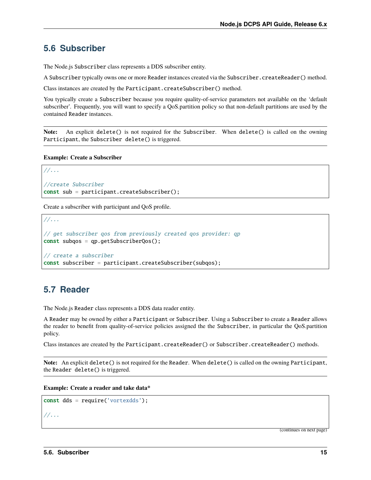# <span id="page-17-0"></span>**5.6 Subscriber**

The Node.js Subscriber class represents a DDS subscriber entity.

A Subscriber typically owns one or more Reader instances created via the Subscriber.createReader() method.

Class instances are created by the Participant.createSubscriber() method.

You typically create a Subscriber because you require quality-of-service parameters not available on the 'default subscriber'. Frequently, you will want to specify a QoS.partition policy so that non-default partitions are used by the contained Reader instances.

**Note:** An explicit delete() is not required for the Subscriber. When delete() is called on the owning Participant, the Subscriber delete() is triggered.

**Example: Create a Subscriber**

```
//...
//create Subscriber
const sub = participant.createSubscriber();
```
Create a subscriber with participant and QoS profile.

```
//...
// get subscriber qos from previously created qos provider: qp
const subqos = qp.getSubscriberQos();
// create a subscriber
const subscriber = participant.createSubscriber(subqos);
```
# <span id="page-17-1"></span>**5.7 Reader**

The Node.js Reader class represents a DDS data reader entity.

A Reader may be owned by either a Participant or Subscriber. Using a Subscriber to create a Reader allows the reader to benefit from quality-of-service policies assigned the the Subscriber, in particular the QoS.partition policy.

Class instances are created by the Participant.createReader() or Subscriber.createReader() methods.

**Note:** An explicit delete() is not required for the Reader. When delete() is called on the owning Participant, the Reader delete() is triggered.

**Example: Create a reader and take data\***

```
const dds = require('vortexdds');
//...
```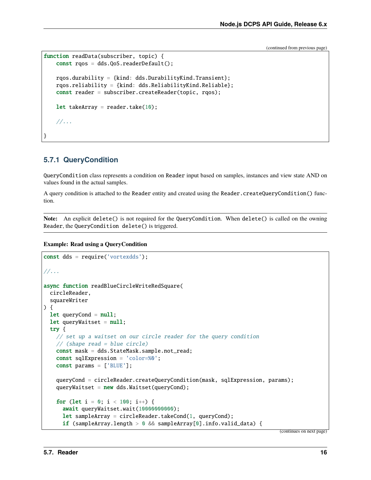```
function readData(subscriber, topic) {
   const rqos = dds.QoS.readerDefault();
   rqos.durability = {kind: dds.DurabilityKind.Transient};
   rqos.reliability = {kind: dds.ReliabilityKind.Reliable};
   const reader = subscriber.createReader(topic, rqos);
   let takeArray = reader.take(10);
    //...
}
```
### <span id="page-18-0"></span>**5.7.1 QueryCondition**

QueryCondition class represents a condition on Reader input based on samples, instances and view state AND on values found in the actual samples.

A query condition is attached to the Reader entity and created using the Reader.createQueryCondition() function.

**Note:** An explicit delete() is not required for the QueryCondition. When delete() is called on the owning Reader, the QueryCondition delete() is triggered.

**Example: Read using a QueryCondition**

```
const dds = require('vortexdds');
//...
async function readBlueCircleWriteRedSquare(
 circleReader,
  squareWriter
) {
  let queryCond = null;let queryWaitset = null;try {
    // set up a waitset on our circle reader for the query condition
    // (shape read = blue circle)
    const mask = dds.StateMask.sample.not_read;
    const sqlExpression = 'color=%0';
    const params = ['BLUE'];
    queryCond = circleReader.createQueryCondition(mask, sqlExpression, params);
    queryWaitset = new dds.Waitset(queryCond);
    for (let i = 0; i < 100; i++) {
      await queryWaitset.wait(10000000000);
      let sampleArray = circleReader.takeCond(1, queryCond);
      if (sampleArray.length > 0 && sampleArray[0].info.valid_data) {
```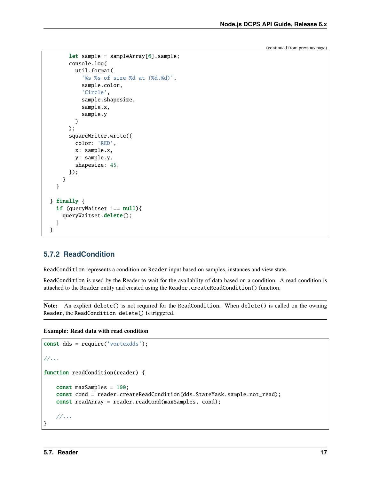```
let sample = sampleArray[0].sample;console.log(
        util.format(
          '%s %s of size %d at (%d,%d)',
          sample.color,
          'Circle',
          sample.shapesize,
          sample.x,
          sample.y
        )
      );
      squareWriter.write({
        color: 'RED',
        x: sample.x,
        y: sample.y,
        shapesize: 45,
      });
    }
 }
} finally {
 if (queryWaitset  == null){
    queryWaitset.delete();
 }
}
```
### <span id="page-19-0"></span>**5.7.2 ReadCondition**

ReadCondition represents a condition on Reader input based on samples, instances and view state.

ReadCondition is used by the Reader to wait for the availablity of data based on a condition. A read condition is attached to the Reader entity and created using the Reader.createReadCondition() function.

**Note:** An explicit delete() is not required for the ReadCondition. When delete() is called on the owning Reader, the ReadCondition delete() is triggered.

**Example: Read data with read condition**

```
const dds = require('vortexdds');
//...
function readCondition(reader) {
   const maxSamples = 100;
   const cond = reader.createReadCondition(dds.StateMask.sample.not_read);
    const readArray = reader.readCond(maxSamples, cond);
    //...
}
```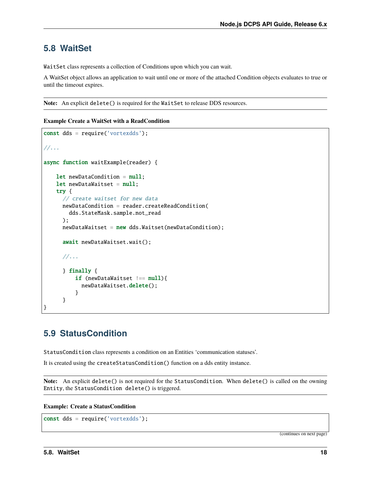# <span id="page-20-0"></span>**5.8 WaitSet**

WaitSet class represents a collection of Conditions upon which you can wait.

A WaitSet object allows an application to wait until one or more of the attached Condition objects evaluates to true or until the timeout expires.

**Note:** An explicit delete() is required for the WaitSet to release DDS resources.

**Example Create a WaitSet with a ReadCondition**

```
const dds = require('vortexdds');
//...
async function waitExample(reader) {
    let newDataCondition = null;
    let newDataWaitset = null;try {
      // create waitset for new data
      newDataCondition = reader.createReadCondition(
        dds.StateMask.sample.not_read
      );
      newDataWaitset = new dds.Waisteet(newDataCondition);await newDataWaitset.wait();
      //...
      } finally {
          if (newDataWaitset !=\text{null}){
            newDataWaitset.delete();
          }
      }
}
```
# <span id="page-20-1"></span>**5.9 StatusCondition**

StatusCondition class represents a condition on an Entities 'communication statuses'.

It is created using the createStatusCondition() function on a dds entity instance.

**Note:** An explicit delete() is not required for the StatusCondition. When delete() is called on the owning Entity, the StatusCondition delete() is triggered.

#### **Example: Create a StatusCondition**

```
const dds = require('vortexdds');
```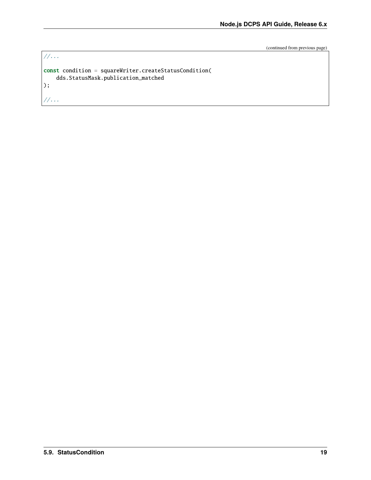```
//...
const condition = squareWriter.createStatusCondition(
    dds.StatusMask.publication_matched
);
//...
```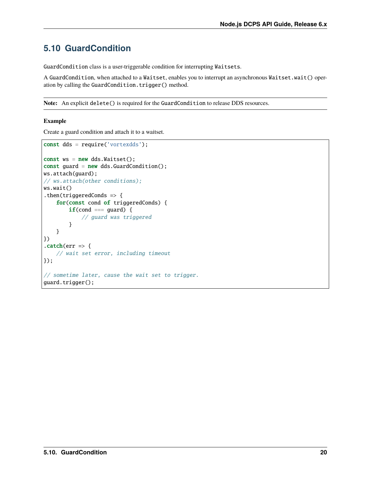# <span id="page-22-0"></span>**5.10 GuardCondition**

GuardCondition class is a user-triggerable condition for interrupting Waitsets.

A GuardCondition, when attached to a Waitset, enables you to interrupt an asynchronous Waitset.wait() operation by calling the GuardCondition.trigger() method.

**Note:** An explicit delete() is required for the GuardCondition to release DDS resources.

#### **Example**

Create a guard condition and attach it to a waitset.

```
const dds = require('vortexdds');
const ws = new ds.Waitset();
const guard = new dds.GuardCondition();
ws.attach(guard);
// ws.attach(other conditions);
ws.wait()
.then(triggeredConds => {
    for(const cond of triggeredConds) {
        if(cond == guard) {
            // guard was triggered
        }
    }
})
\text{.catch}(err \Rightarrow \{// wait set error, including timeout
});
// sometime later, cause the wait set to trigger.
guard.trigger();
```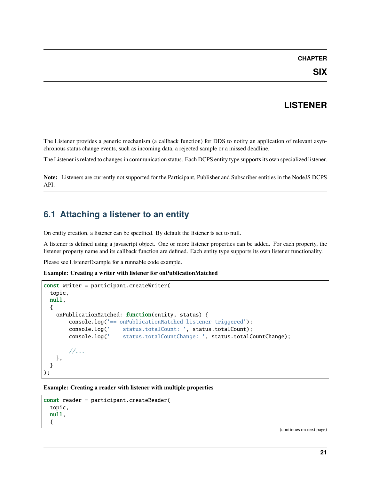# **LISTENER**

<span id="page-23-0"></span>The Listener provides a generic mechanism (a callback function) for DDS to notify an application of relevant asynchronous status change events, such as incoming data, a rejected sample or a missed deadline.

The Listener is related to changes in communication status. Each DCPS entity type supports its own specialized listener.

**Note:** Listeners are currently not supported for the Participant, Publisher and Subscriber entities in the NodeJS DCPS API.

# <span id="page-23-1"></span>**6.1 Attaching a listener to an entity**

On entity creation, a listener can be specified. By default the listener is set to null.

A listener is defined using a javascript object. One or more listener properties can be added. For each property, the listener property name and its callback function are defined. Each entity type supports its own listener functionality.

Please see ListenerExample for a runnable code example.

**Example: Creating a writer with listener for onPublicationMatched**

```
const writer = participant.createWriter(
 topic,
 null,
  {
    onPublicationMatched: function(entity, status) {
        console.log('== onPublicationMatched listener triggered');
        console.log(' status.totalCount: ', status.totalCount);
        console.log(' status.totalCountChange: ', status.totalCountChange);
        //...
   },
 }
);
```
**Example: Creating a reader with listener with multiple properties**

```
const reader = participant.createReader(
 topic,
 null,
 {
```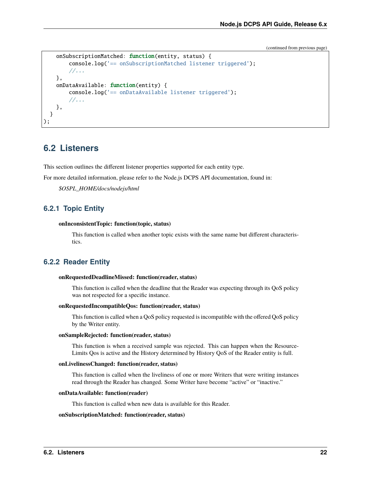```
onSubscriptionMatched: function(entity, status) {
        console.log('== onSubscriptionMatched listener triggered');
        //...
    },
    onDataAvailable: function(entity) {
        console.log('== onDataAvailable listener triggered');
        //...
    },
  }
);
```
# <span id="page-24-0"></span>**6.2 Listeners**

This section outlines the different listener properties supported for each entity type.

For more detailed information, please refer to the Node.js DCPS API documentation, found in:

*\$OSPL\_HOME/docs/nodejs/html*

### <span id="page-24-1"></span>**6.2.1 Topic Entity**

#### **onInconsistentTopic: function(topic, status)**

This function is called when another topic exists with the same name but different characteristics.

### <span id="page-24-2"></span>**6.2.2 Reader Entity**

#### **onRequestedDeadlineMissed: function(reader, status)**

This function is called when the deadline that the Reader was expecting through its QoS policy was not respected for a specific instance.

#### **onRequestedIncompatibleQos: function(reader, status)**

This function is called when a QoS policy requested is incompatible with the offered QoS policy by the Writer entity.

#### **onSampleRejected: function(reader, status)**

This function is when a received sample was rejected. This can happen when the Resource-Limits Qos is active and the History determined by History QoS of the Reader entity is full.

#### **onLivelinessChanged: function(reader, status)**

This function is called when the liveliness of one or more Writers that were writing instances read through the Reader has changed. Some Writer have become "active" or "inactive."

#### **onDataAvailable: function(reader)**

This function is called when new data is available for this Reader.

#### **onSubscriptionMatched: function(reader, status)**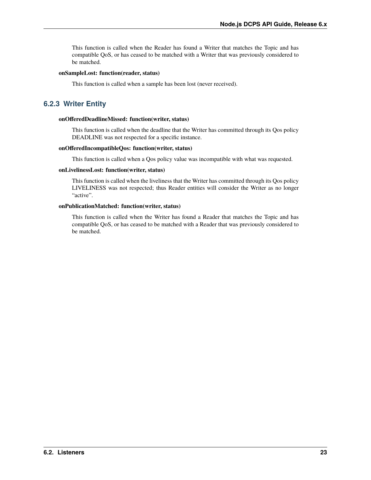This function is called when the Reader has found a Writer that matches the Topic and has compatible QoS, or has ceased to be matched with a Writer that was previously considered to be matched.

#### **onSampleLost: function(reader, status)**

This function is called when a sample has been lost (never received).

### <span id="page-25-0"></span>**6.2.3 Writer Entity**

#### **onOfferedDeadlineMissed: function(writer, status)**

This function is called when the deadline that the Writer has committed through its Qos policy DEADLINE was not respected for a specific instance.

#### **onOfferedIncompatibleQos: function(writer, status)**

This function is called when a Qos policy value was incompatible with what was requested.

#### **onLivelinessLost: function(writer, status)**

This function is called when the liveliness that the Writer has committed through its Qos policy LIVELINESS was not respected; thus Reader entities will consider the Writer as no longer "active".

#### **onPublicationMatched: function(writer, status)**

This function is called when the Writer has found a Reader that matches the Topic and has compatible QoS, or has ceased to be matched with a Reader that was previously considered to be matched.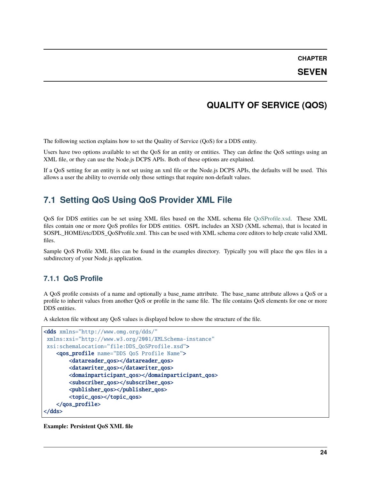**SEVEN**

# **QUALITY OF SERVICE (QOS)**

<span id="page-26-0"></span>The following section explains how to set the Quality of Service (QoS) for a DDS entity.

Users have two options available to set the QoS for an entity or entities. They can define the QoS settings using an XML file, or they can use the Node.js DCPS APIs. Both of these options are explained.

If a QoS setting for an entity is not set using an xml file or the Node.js DCPS APIs, the defaults will be used. This allows a user the ability to override only those settings that require non-default values.

# <span id="page-26-1"></span>**7.1 Setting QoS Using QoS Provider XML File**

QoS for DDS entities can be set using XML files based on the XML schema file [QoSProfile.xsd.](http://www.omg.org/spec/dds4ccm/20110201/DDS_QoSProfile.xsd) These XML files contain one or more QoS profiles for DDS entities. OSPL includes an XSD (XML schema), that is located in \$OSPL\_HOME/etc/DDS\_QoSProfile.xml. This can be used with XML schema core editors to help create valid XML files.

Sample QoS Profile XML files can be found in the examples directory. Typically you will place the qos files in a subdirectory of your Node.js application.

### <span id="page-26-2"></span>**7.1.1 QoS Profile**

A QoS profile consists of a name and optionally a base\_name attribute. The base\_name attribute allows a QoS or a profile to inherit values from another QoS or profile in the same file. The file contains QoS elements for one or more DDS entities.

A skeleton file without any QoS values is displayed below to show the structure of the file.

```
<dds xmlns="http://www.omg.org/dds/"
xmlns:xsi="http://www.w3.org/2001/XMLSchema-instance"
xsi:schemaLocation="file:DDS_QoSProfile.xsd">
   <qos_profile name="DDS QoS Profile Name">
        <datareader_qos></datareader_qos>
        <datawriter_qos></datawriter_qos>
        <domainparticipant_qos></domainparticipant_qos>
        <subscriber_qos></subscriber_qos>
        <publisher_qos></publisher_qos>
        <topic_qos></topic_qos>
    </qos_profile>
</dds>
```
**Example: Persistent QoS XML file**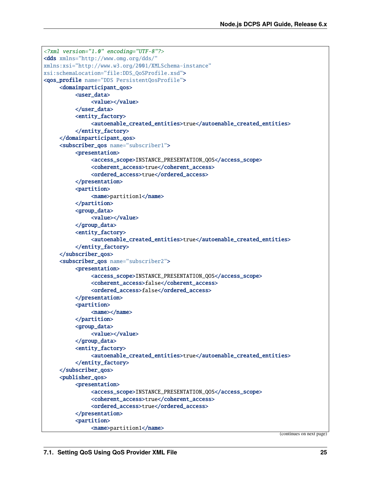```
<?xml version="1.0" encoding="UTF-8"?>
<dds xmlns="http://www.omg.org/dds/"
xmlns:xsi="http://www.w3.org/2001/XMLSchema-instance"
xsi:schemaLocation="file:DDS_QoSProfile.xsd">
<qos_profile name="DDS PersistentQosProfile">
     <domainparticipant_qos>
          <user_data>
               <value></value>
          </user_data>
          <entity_factory>
               <autoenable_created_entities>true</autoenable_created_entities>
          </entity_factory>
     </domainparticipant_qos>
     <subscriber_qos name="subscriber1">
          <presentation>
               <access_scope>INSTANCE_PRESENTATION_QOS</access_scope>
               <coherent_access>true</coherent_access>
               <ordered_access>true</ordered_access>
          </presentation>
          <partition>
               <name>partition1</name>
          </partition>
          <group_data>
               <value></value>
          </group_data>
          <entity_factory>
               <autoenable_created_entities>true</autoenable_created_entities>
          </entity_factory>
     </subscriber_qos>
     <subscriber_qos name="subscriber2">
          <presentation>
               <access_scope>INSTANCE_PRESENTATION_QOS</access_scope>
               <coherent_access>false</coherent_access>
               <ordered_access>false</ordered_access>
          </presentation>
          <partition>
               <name></name>
          </partition>
          <group_data>
               <value></value>
          </group_data>
          <entity_factory>
               <autoenable_created_entities>true</autoenable_created_entities>
          </entity_factory>
     </subscriber_qos>
     <publisher_qos>
          <presentation><access_scope>INSTANCE_PRESENTATION_QOS</access_scope>
               <coherent_access>true</coherent_access>
               <ordered_access>true</ordered_access>
          </presentation>
          <partition>
               <name>partition1</name>
```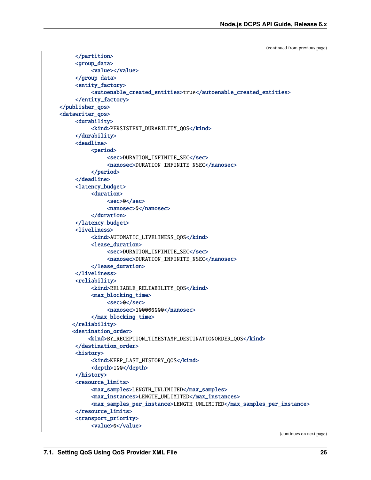```
</partition>
     <group_data>
          <value></value>
     </group_data>
     <entity_factory>
          <autoenable_created_entities>true</autoenable_created_entities>
     </entity_factory>
</publisher_qos>
<datawriter_qos>
     <durability>
          <kind>PERSISTENT_DURABILITY_QOS</kind>
     </durability>
     <deadline>
          <period>
               <sec>DURATION_INFINITE_SEC</sec>
               <nanosec>DURATION_INFINITE_NSEC</nanosec>
          </period>
     </deadline>
     <latency_budget>
          <duration>
               <sec>0</sec>
               <nanosec>0</nanosec>
          </duration>
     </latency_budget>
     <liveliness>
          <kind>AUTOMATIC_LIVELINESS_QOS</kind>
          <lease_duration>
               <sec>DURATION_INFINITE_SEC</sec>
               <nanosec>DURATION_INFINITE_NSEC</nanosec>
          </lease_duration>
     </liveliness>
     <reliability>
          <kind>RELIABLE_RELIABILITY_QOS</kind>
          <max_blocking_time>
               <sec>0</sec>
               <nanosec>100000000</nanosec>
          </max_blocking_time>
    </reliability>
    <destination_order>
         <kind>BY_RECEPTION_TIMESTAMP_DESTINATIONORDER_QOS</kind>
     </destination_order>
     <history>
          <kind>KEEP_LAST_HISTORY_QOS</kind>
          <depth>100</depth>
     </history>
     <resource_limits>
          <max_samples>LENGTH_UNLIMITED</max_samples>
          <max_instances>LENGTH_UNLIMITED</max_instances>
          <max_samples_per_instance>LENGTH_UNLIMITED</max_samples_per_instance>
     </resource_limits>
     <transport_priority>
          <value>0</value>
```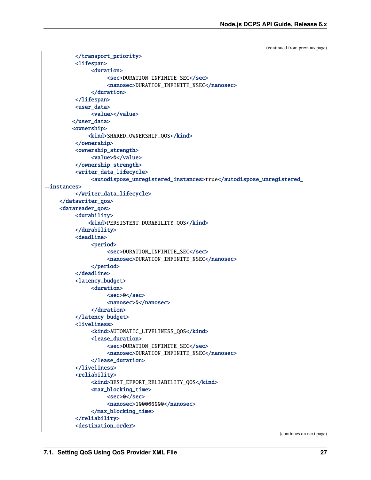```
(continued from previous page)
```

```
</transport_priority>
         <lifespan>
              <duration>
                   <sec>DURATION_INFINITE_SEC</sec>
                   <nanosec>DURATION_INFINITE_NSEC</nanosec>
              </duration>
         </lifespan>
         <user_data>
              <value></value>
        </user_data>
        <ownership>
             <kind>SHARED_OWNERSHIP_QOS</kind>
         </ownership>
         <ownership_strength>
              <value>0</value>
         </ownership_strength>
         <writer_data_lifecycle>
              <autodispose_unregistered_instances>true</autodispose_unregistered_
˓→instances>
         </writer_data_lifecycle>
    </datawriter_qos>
    <datareader_qos>
         <durability>
             <kind>PERSISTENT_DURABILITY_QOS</kind>
         </durability>
         <deadline>
              <period>
                   <sec>DURATION_INFINITE_SEC</sec>
                    <nanosec>DURATION_INFINITE_NSEC</nanosec>
              </period>
         </deadline>
         <latency_budget>
              <duration>
                   <sec>0</sec>
                   <nanosec>0</nanosec>
              </duration>
         </latency_budget>
         <liveliness>
              <kind>AUTOMATIC_LIVELINESS_QOS</kind>
              <lease_duration>
                   <sec>DURATION_INFINITE_SEC</sec>
                   <nanosec>DURATION_INFINITE_NSEC</nanosec>
              </lease_duration>
         </liveliness>
         <reliability>
              <kind>BEST_EFFORT_RELIABILITY_QOS</kind>
              <max_blocking_time>
                   <sec>0</sec>
                   <nanosec>100000000</nanosec>
              </max_blocking_time>
         </reliability>
         <destination_order>
```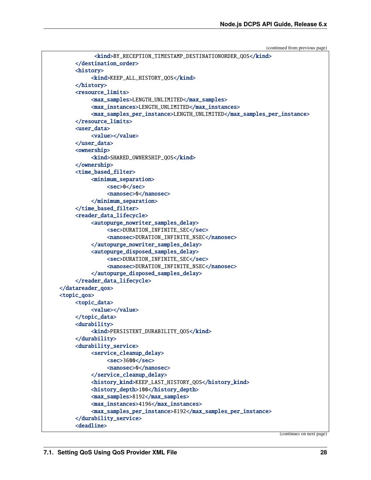```
<kind>BY_RECEPTION_TIMESTAMP_DESTINATIONORDER_QOS</kind>
     </destination_order>
     <history>
          <kind>KEEP_ALL_HISTORY_QOS</kind>
     </history>
     <resource_limits>
          <max_samples>LENGTH_UNLIMITED</max_samples>
          <max_instances>LENGTH_UNLIMITED</max_instances>
          <max_samples_per_instance>LENGTH_UNLIMITED</max_samples_per_instance>
     </resource_limits>
     <user_data>
          <value></value>
     </user_data>
     <ownership>
          <kind>SHARED_OWNERSHIP_QOS</kind>
     </ownership>
     <time_based_filter>
          <minimum_separation>
               <sec>0</sec>
               <nanosec>0</nanosec>
          </minimum_separation>
     </time_based_filter>
     <reader_data_lifecycle>
          <autopurge_nowriter_samples_delay>
               <sec>DURATION_INFINITE_SEC</sec>
               <nanosec>DURATION_INFINITE_NSEC</nanosec>
          </autopurge_nowriter_samples_delay>
          <autopurge_disposed_samples_delay>
               <sec>DURATION_INFINITE_SEC</sec>
               <nanosec>DURATION_INFINITE_NSEC</nanosec>
          </autopurge_disposed_samples_delay>
     </reader_data_lifecycle>
</datareader_qos>
<topic_qos>
     <topic_data>
          <value></value>
     </topic_data>
     <durability>
          <kind>PERSISTENT_DURABILITY_QOS</kind>
     </durability>
     <durability_service>
          <service_cleanup_delay>
               <sec>3600</sec>
               <nanosec>0</nanosec>
          </service_cleanup_delay>
          <history_kind>KEEP_LAST_HISTORY_QOS</history_kind>
          <history_depth>100</history_depth>
          <max_samples>8192</max_samples>
          <max_instances>4196</max_instances>
          <max_samples_per_instance>8192</max_samples_per_instance>
     </durability_service>
     <deadline>
```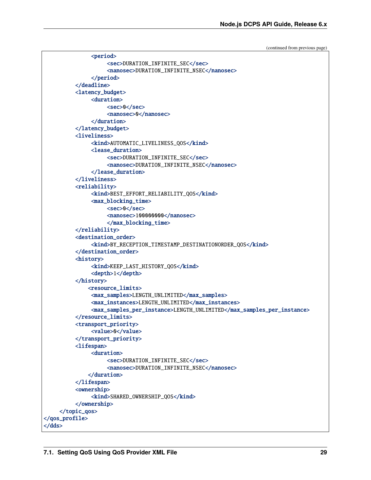```
<period>
                    <sec>DURATION_INFINITE_SEC</sec>
                    <nanosec>DURATION_INFINITE_NSEC</nanosec>
               </period>
          </deadline>
          <latency_budget>
               <duration>
                    <sec>0</sec>
                    <nanosec>0</nanosec>
               </duration>
          </latency_budget>
          <liveliness>
               <kind>AUTOMATIC_LIVELINESS_QOS</kind>
               <lease_duration>
                    <sec>DURATION_INFINITE_SEC</sec>
                    <nanosec>DURATION_INFINITE_NSEC</nanosec>
               </lease_duration>
          </liveliness>
          <reliability>
               <kind>BEST_EFFORT_RELIABILITY_QOS</kind>
               <max_blocking_time>
                    <sec>0</sec>
                    <nanosec>100000000</nanosec>
                    </max_blocking_time>
          </reliability>
          <destination_order>
               <kind>BY_RECEPTION_TIMESTAMP_DESTINATIONORDER_QOS</kind>
          </destination_order>
          <history>
               <kind>KEEP_LAST_HISTORY_QOS</kind>
               <depth>1</depth>
          </history>
              <resource_limits>
               <max_samples>LENGTH_UNLIMITED</max_samples>
               <max_instances>LENGTH_UNLIMITED</max_instances>
               <max_samples_per_instance>LENGTH_UNLIMITED</max_samples_per_instance>
          </resource_limits>
          <transport_priority>
               <value>0</value>
          </transport_priority>
          <lifespan>
               <duration>
                    <sec>DURATION_INFINITE_SEC</sec>
                    <nanosec>DURATION_INFINITE_NSEC</nanosec>
              </duration>
          </lifespan>
          <ownership>
               <kind>SHARED_OWNERSHIP_QOS</kind>
          </ownership>
     </topic_qos>
</qos_profile>
</dds>
```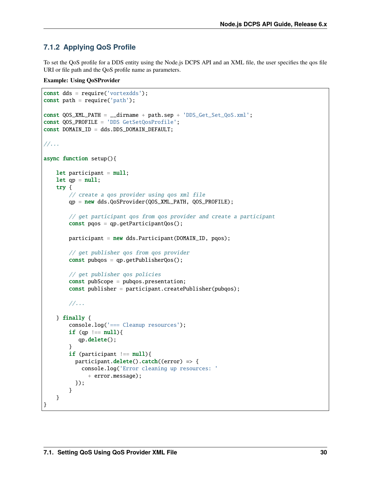### <span id="page-32-0"></span>**7.1.2 Applying QoS Profile**

To set the QoS profile for a DDS entity using the Node.js DCPS API and an XML file, the user specifies the qos file URI or file path and the QoS profile name as parameters.

#### **Example: Using QoSProvider**

```
const dds = require('vortexdds');
const path = require('path');const QOS_XML_PATH = __dirname + path.sep + 'DDS_Get_Set_QoS.xml';
const QOS_PROFILE = 'DDS GetSetQosProfile';
const DOMAIN_ID = dds.DDS_DOMAIN_DEFAULT;
//...
async function setup(){
    let participant = null;
    let qp = null;try {
        // create a qos provider using qos xml file
        qp = new dds.QoSProvider(QOS_XML_PATH, QOS_PROFILE);
        // get participant qos from qos provider and create a participant
        const poos = qp.getParticipantQos();
        participant = new ds.Participant(DOMAIN_ID, pgos);// get publisher qos from qos provider
        const pubqos = qp.getPublisherQos();
        // get publisher qos policies
        const pubScope = pubqos.presentation;
        const publisher = participant.createPublisher(pubqos);
        //...
    } finally {
        console.log('=== Cleanup resources');
        if (qp  == \text{null}){
           qp.delete();
        }
        if (participant  == null){
          participant.delete().catch((error) \Rightarrow {
            console.log('Error cleaning up resources: '
              + error.message);
          });
        }
    }
}
```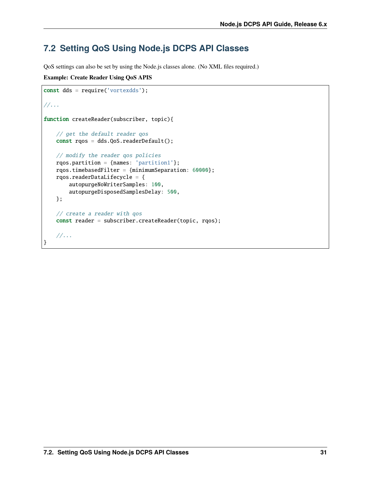# <span id="page-33-0"></span>**7.2 Setting QoS Using Node.js DCPS API Classes**

QoS settings can also be set by using the Node.js classes alone. (No XML files required.)

**Example: Create Reader Using QoS APIS**

```
const dds = require('vortexdds');
//...
function createReader(subscriber, topic){
   // get the default reader qos
   const rqos = dds.QoS.readerDefault();
   // modify the reader qos policies
   rqos.partition = {names: 'partition1'};
   rqos.timebasedFilter = {minimumSeparation: 60000};
   rqos.readerDataLifecycle = {
        autopurgeNoWriterSamples: 100,
        autopurgeDisposedSamplesDelay: 500,
   };
   // create a reader with qos
   const reader = subscriber.createReader(topic, rqos);
   //...
}
```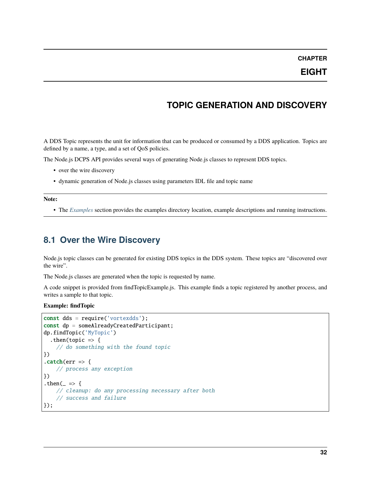### **EIGHT**

# **TOPIC GENERATION AND DISCOVERY**

<span id="page-34-0"></span>A DDS Topic represents the unit for information that can be produced or consumed by a DDS application. Topics are defined by a name, a type, and a set of QoS policies.

The Node.js DCPS API provides several ways of generating Node.js classes to represent DDS topics.

- over the wire discovery
- dynamic generation of Node.js classes using parameters IDL file and topic name

**Note:**

• The *[Examples](#page-9-0)* section provides the examples directory location, example descriptions and running instructions.

### <span id="page-34-1"></span>**8.1 Over the Wire Discovery**

Node.js topic classes can be generated for existing DDS topics in the DDS system. These topics are "discovered over the wire".

The Node.js classes are generated when the topic is requested by name.

A code snippet is provided from findTopicExample.js. This example finds a topic registered by another process, and writes a sample to that topic.

**Example: findTopic**

```
const dds = require('vortexdds');
const dp = someAlreadyCreatedParticipant;
dp.findTopic('MyTopic')
  .then(topic \Rightarrow {
    // do something with the found topic
})
\text{.catch}(err \Rightarrow \{// process any exception
})
.then(= \Rightarrow {
    // cleanup: do any processing necessary after both
    // success and failure
});
```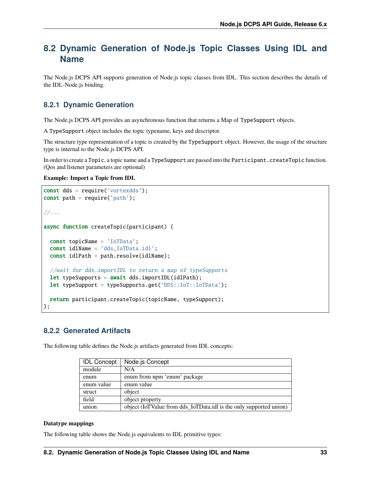# <span id="page-35-0"></span>**8.2 Dynamic Generation of Node.js Topic Classes Using IDL and Name**

The Node.js DCPS API supports generation of Node.js topic classes from IDL. This section describes the details of the IDL-Node.js binding.

### <span id="page-35-1"></span>**8.2.1 Dynamic Generation**

The Node.js DCPS API provides an asynchronous function that returns a Map of TypeSupport objects.

A TypeSupport object includes the topic typename, keys and descriptor.

The structure type representation of a topic is created by the TypeSupport object. However, the usage of the structure type is internal to the Node.js DCPS API.

In order to create a Topic, a topic name and a TypeSupport are passed into the Participant.createTopic function. (Qos and listener parameters are optional)

#### **Example: Import a Topic from IDL**

```
const dds = require('vortexdds');
const path = require('path');//...
async function createTopic(participant) {
  const topicName = 'IoTData';
 const idlName = 'dds_IoTData.idl';
  const idlPath = path.resolve(idlName);
 //wait for dds.importIDL to return a map of typeSupports
 let typeSupports = await dds.importIDL(idlPath);
 let typeSupport = typeSupports.get('DDS::IoT::IoTData');
 return participant.createTopic(topicName, typeSupport);
};
```
### <span id="page-35-2"></span>**8.2.2 Generated Artifacts**

The following table defines the Node.js artifacts generated from IDL concepts:

| <b>IDL Concept</b> | Node.js Concept                                                    |
|--------------------|--------------------------------------------------------------------|
| module             | N/A                                                                |
| enum               | enum from npm 'enum' package                                       |
| enum value         | enum value                                                         |
| struct             | object                                                             |
| field              | object property                                                    |
| union              | object (IoTValue from dds_IoTData.idl is the only supported union) |

#### **Datatype mappings**

The following table shows the Node.js equivalents to IDL primitive types: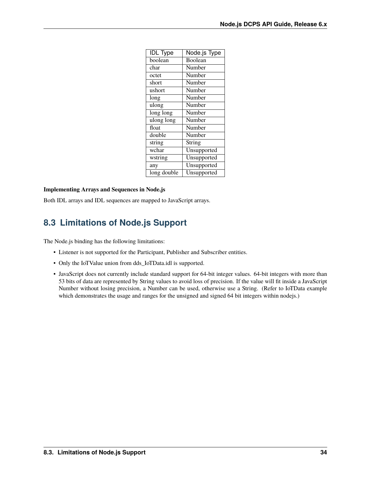| <b>IDL</b> Type | Node.js Type |
|-----------------|--------------|
| boolean         | Boolean      |
| char            | Number       |
| octet           | Number       |
| short           | Number       |
| ushort          | Number       |
| long            | Number       |
| ulong           | Number       |
| long long       | Number       |
| ulong long      | Number       |
| float           | Number       |
| double          | Number       |
| string          | String       |
| wchar           | Unsupported  |
| wstring         | Unsupported  |
| any             | Unsupported  |
| long double     | Unsupported  |

#### **Implementing Arrays and Sequences in Node.js**

Both IDL arrays and IDL sequences are mapped to JavaScript arrays.

# <span id="page-36-0"></span>**8.3 Limitations of Node.js Support**

The Node.js binding has the following limitations:

- Listener is not supported for the Participant, Publisher and Subscriber entities.
- Only the IoTValue union from dds\_IoTData.idl is supported.
- JavaScript does not currently include standard support for 64-bit integer values. 64-bit integers with more than 53 bits of data are represented by String values to avoid loss of precision. If the value will fit inside a JavaScript Number without losing precision, a Number can be used, otherwise use a String. (Refer to IoTData example which demonstrates the usage and ranges for the unsigned and signed 64 bit integers within nodejs.)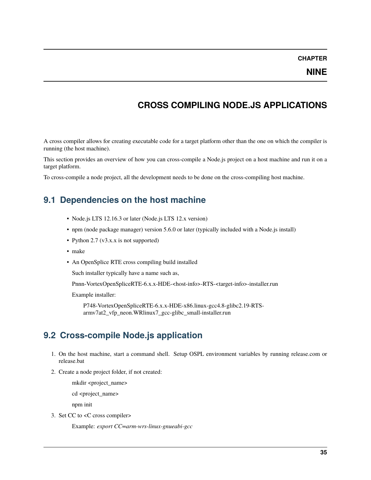### **NINE**

# **CROSS COMPILING NODE.JS APPLICATIONS**

<span id="page-37-0"></span>A cross compiler allows for creating executable code for a target platform other than the one on which the compiler is running (the host machine).

This section provides an overview of how you can cross-compile a Node.js project on a host machine and run it on a target platform.

To cross-compile a node project, all the development needs to be done on the cross-compiling host machine.

### <span id="page-37-1"></span>**9.1 Dependencies on the host machine**

- Node.js LTS 12.16.3 or later (Node.js LTS 12.x version)
- npm (node package manager) version 5.6.0 or later (typically included with a Node.js install)
- Python 2.7 (v3.x.x is not supported)
- make
- An OpenSplice RTE cross compiling build installed

Such installer typically have a name such as,

Pnnn-VortexOpenSpliceRTE-6.x.x-HDE-<host-info>-RTS-<target-info>-installer.run

Example installer:

P748-VortexOpenSpliceRTE-6.x.x-HDE-x86.linux-gcc4.8-glibc2.19-RTSarmv7at2\_vfp\_neon.WRlinux7\_gcc-glibc\_small-installer.run

### <span id="page-37-2"></span>**9.2 Cross-compile Node.js application**

- 1. On the host machine, start a command shell. Setup OSPL environment variables by running release.com or release.bat
- 2. Create a node project folder, if not created:

mkdir <project\_name>

cd <project\_name>

npm init

3. Set CC to <C cross compiler>

Example: *export CC=arm-wrs-linux-gnueabi-gcc*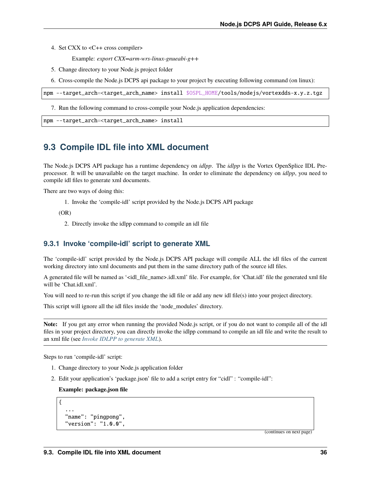- 4. Set CXX to <C++ cross compiler>
	- Example: *export CXX=arm-wrs-linux-gnueabi-g++*
- 5. Change directory to your Node.js project folder
- 6. Cross-compile the Node.js DCPS api package to your project by executing following command (on linux):

```
npm --target_arch=<target_arch_name> install $OSPL_HOME/tools/nodejs/vortexdds-x.y.z.tgz
```
7. Run the following command to cross-compile your Node.js application dependencies:

```
npm --target_arch=<target_arch_name> install
```
# <span id="page-38-0"></span>**9.3 Compile IDL file into XML document**

The Node.js DCPS API package has a runtime dependency on *idlpp*. The *idlpp* is the Vortex OpenSplice IDL Preprocessor. It will be unavailable on the target machine. In order to eliminate the dependency on *idlpp*, you need to compile idl files to generate xml documents.

There are two ways of doing this:

1. Invoke the 'compile-idl' script provided by the Node.js DCPS API package

(OR)

2. Directly invoke the idlpp command to compile an idl file

#### <span id="page-38-1"></span>**9.3.1 Invoke 'compile-idl' script to generate XML**

The 'compile-idl' script provided by the Node.js DCPS API package will compile ALL the idl files of the current working directory into xml documents and put them in the same directory path of the source idl files.

A generated file will be named as '<idl\_file\_name>.idl.xml' file. For example, for 'Chat.idl' file the generated xml file will be 'Chat.idl.xml'.

You will need to re-run this script if you change the idl file or add any new idl file(s) into your project directory.

This script will ignore all the idl files inside the 'node\_modules' directory.

**Note:** If you get any error when running the provided Node.js script, or if you do not want to compile all of the idl files in your project directory, you can directly invoke the idlpp command to compile an idl file and write the result to an xml file (see *[Invoke IDLPP to generate XML](#page-39-0)*).

Steps to run 'compile-idl' script:

- 1. Change directory to your Node.js application folder
- 2. Edit your application's 'package.json' file to add a script entry for "cidl" : "compile-idl":

**Example: package.json file**

```
{
  ...
  "name": "pingpong",
  "version": "1.0.0",
```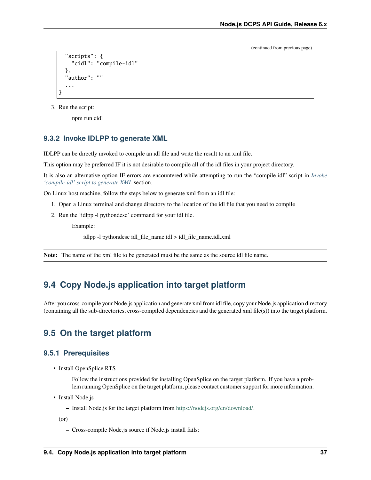```
"scripts": {
    "cidl": "compile-idl"
  },
  "author": ""
  ...
}
```
3. Run the script:

npm run cidl

#### <span id="page-39-0"></span>**9.3.2 Invoke IDLPP to generate XML**

IDLPP can be directly invoked to compile an idl file and write the result to an xml file.

This option may be preferred IF it is not desirable to compile all of the idl files in your project directory.

It is also an alternative option IF errors are encountered while attempting to run the "compile-idl" script in *[Invoke](#page-38-1) ['compile-idl' script to generate XML](#page-38-1)* section.

On Linux host machine, follow the steps below to generate xml from an idl file:

- 1. Open a Linux terminal and change directory to the location of the idl file that you need to compile
- 2. Run the 'idlpp -l pythondesc' command for your idl file.

Example:

idlpp -l pythondesc idl\_file\_name.idl > idl\_file\_name.idl.xml

**Note:** The name of the xml file to be generated must be the same as the source idl file name.

### <span id="page-39-1"></span>**9.4 Copy Node.js application into target platform**

After you cross-compile your Node.js application and generate xml from idl file, copy your Node.js application directory (containing all the sub-directories, cross-compiled dependencies and the generated xml file(s)) into the target platform.

### <span id="page-39-2"></span>**9.5 On the target platform**

#### <span id="page-39-3"></span>**9.5.1 Prerequisites**

• Install OpenSplice RTS

Follow the instructions provided for installing OpenSplice on the target platform. If you have a problem running OpenSplice on the target platform, please contact customer support for more information.

- Install Node.js
	- **–** Install Node.js for the target platform from [https://nodejs.org/en/download/.](https://nodejs.org/en/download/)

(or)

**–** Cross-compile Node.js source if Node.js install fails: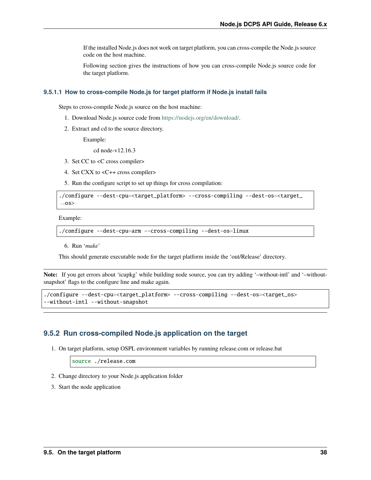If the installed Node.js does not work on target platform, you can cross-compile the Node.js source code on the host machine.

Following section gives the instructions of how you can cross-compile Node.js source code for the target platform.

#### <span id="page-40-0"></span>**9.5.1.1 How to cross-compile Node.js for target platform if Node.js install fails**

Steps to cross-compile Node.js source on the host machine:

- 1. Download Node.js source code from [https://nodejs.org/en/download/.](https://nodejs.org/en/download/)
- 2. Extract and cd to the source directory.

Example:

cd node-v12.16.3

- 3. Set CC to <C cross compiler>
- 4. Set CXX to <C++ cross compiler>
- 5. Run the configure script to set up things for cross compilation:

```
./configure --dest-cpu=<target_platform> --cross-compiling --dest-os=<target_
\leftrightarrow0S>
```
Example:

```
./configure --dest-cpu=arm --cross-compiling --dest-os=linux
```
6. Run '*make*'

This should generate executable node for the target platform inside the 'out/Release' directory.

**Note:** If you get errors about 'icupkg' while building node source, you can try adding '–without-intl' and '–withoutsnapshot' flags to the configure line and make again.

```
./configure --dest-cpu=<target_platform> --cross-compiling --dest-os=<target_os>
--without-intl --without-snapshot
```
### <span id="page-40-1"></span>**9.5.2 Run cross-compiled Node.js application on the target**

1. On target platform, setup OSPL environment variables by running release.com or release.bat

source ./release.com

- 2. Change directory to your Node.js application folder
- 3. Start the node application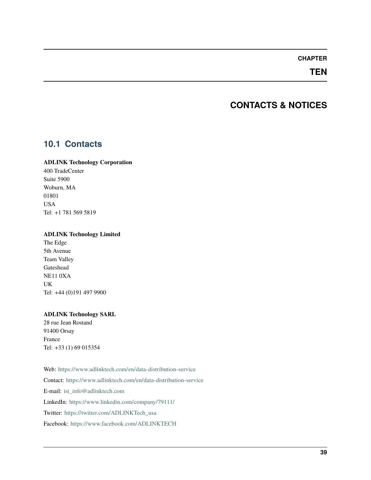### **TEN**

# **CONTACTS & NOTICES**

### <span id="page-41-1"></span><span id="page-41-0"></span>**10.1 Contacts**

#### **ADLINK Technology Corporation**

400 TradeCenter Suite 5900 Woburn, MA 01801 USA Tel: +1 781 569 5819

#### **ADLINK Technology Limited**

The Edge 5th Avenue Team Valley Gateshead NE11 0XA UK Tel: +44 (0)191 497 9900

#### **ADLINK Technology SARL**

28 rue Jean Rostand 91400 Orsay France Tel: +33 (1) 69 015354

Web: <https://www.adlinktech.com/en/data-distribution-service> Contact: <https://www.adlinktech.com/en/data-distribution-service> E-mail: [ist\\_info@adlinktech.com](mailto:ist_info@adlinktech.com) LinkedIn: <https://www.linkedin.com/company/79111/> Twitter: [https://twitter.com/ADLINKTech\\_usa](https://twitter.com/ADLINKTech_usa) Facebook: <https://www.facebook.com/ADLINKTECH>